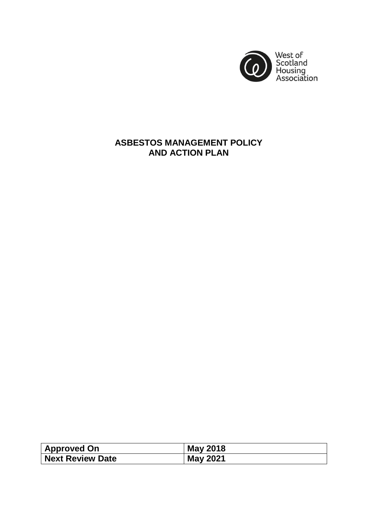

# **ASBESTOS MANAGEMENT POLICY AND ACTION PLAN**

| <b>Approved On</b> | <b>May 2018</b> |
|--------------------|-----------------|
| Next Review Date   | <b>May 2021</b> |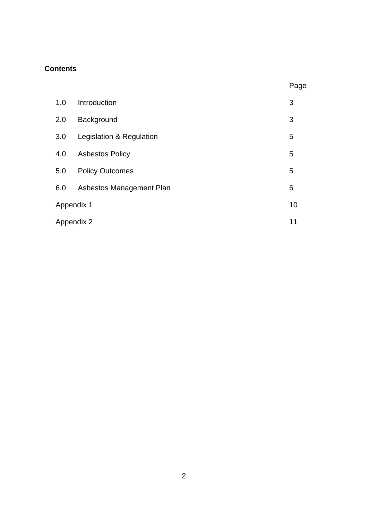# **Contents**

|            |                          | Page |
|------------|--------------------------|------|
| 1.0        | Introduction             | 3    |
| 2.0        | Background               | 3    |
| 3.0        | Legislation & Regulation | 5    |
| 4.0        | <b>Asbestos Policy</b>   | 5    |
| 5.0        | <b>Policy Outcomes</b>   | 5    |
| 6.0        | Asbestos Management Plan | 6    |
| Appendix 1 |                          | 10   |
| Appendix 2 |                          | 11   |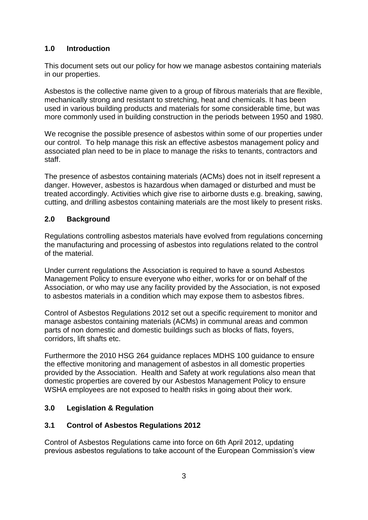# **1.0 Introduction**

This document sets out our policy for how we manage asbestos containing materials in our properties.

Asbestos is the collective name given to a group of fibrous materials that are flexible, mechanically strong and resistant to stretching, heat and chemicals. It has been used in various building products and materials for some considerable time, but was more commonly used in building construction in the periods between 1950 and 1980.

We recognise the possible presence of asbestos within some of our properties under our control. To help manage this risk an effective asbestos management policy and associated plan need to be in place to manage the risks to tenants, contractors and staff.

The presence of asbestos containing materials (ACMs) does not in itself represent a danger. However, asbestos is hazardous when damaged or disturbed and must be treated accordingly. Activities which give rise to airborne dusts e.g. breaking, sawing, cutting, and drilling asbestos containing materials are the most likely to present risks.

### **2.0 Background**

Regulations controlling asbestos materials have evolved from regulations concerning the manufacturing and processing of asbestos into regulations related to the control of the material.

Under current regulations the Association is required to have a sound Asbestos Management Policy to ensure everyone who either, works for or on behalf of the Association, or who may use any facility provided by the Association, is not exposed to asbestos materials in a condition which may expose them to asbestos fibres.

Control of Asbestos Regulations 2012 set out a specific requirement to monitor and manage asbestos containing materials (ACMs) in communal areas and common parts of non domestic and domestic buildings such as blocks of flats, foyers, corridors, lift shafts etc.

Furthermore the 2010 HSG 264 guidance replaces MDHS 100 guidance to ensure the effective monitoring and management of asbestos in all domestic properties provided by the Association. Health and Safety at work regulations also mean that domestic properties are covered by our Asbestos Management Policy to ensure WSHA employees are not exposed to health risks in going about their work.

### **3.0 Legislation & Regulation**

#### **3.1 Control of Asbestos Regulations 2012**

Control of Asbestos Regulations came into force on 6th April 2012, updating previous asbestos regulations to take account of the European Commission's view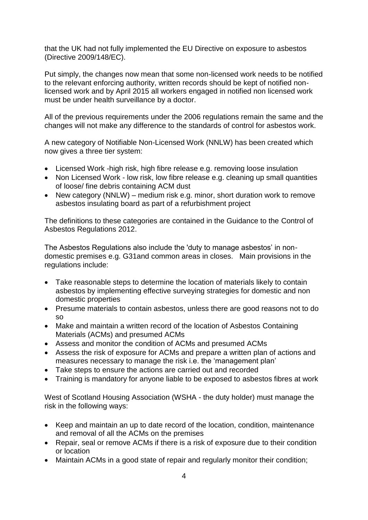that the UK had not fully implemented the EU Directive on exposure to asbestos (Directive 2009/148/EC).

Put simply, the changes now mean that some non-licensed work needs to be notified to the relevant enforcing authority, written records should be kept of notified nonlicensed work and by April 2015 all workers engaged in notified non licensed work must be under health surveillance by a doctor.

All of the previous requirements under the 2006 regulations remain the same and the changes will not make any difference to the standards of control for asbestos work.

A new category of Notifiable Non-Licensed Work (NNLW) has been created which now gives a three tier system:

- Licensed Work -high risk, high fibre release e.g. removing loose insulation
- Non Licensed Work low risk, low fibre release e.g. cleaning up small quantities of loose/ fine debris containing ACM dust
- New category (NNLW) medium risk e.g. minor, short duration work to remove asbestos insulating board as part of a refurbishment project

The definitions to these categories are contained in the Guidance to the Control of Asbestos Regulations 2012.

The Asbestos Regulations also include the 'duty to manage asbestos' in nondomestic premises e.g. G31and common areas in closes. Main provisions in the regulations include:

- Take reasonable steps to determine the location of materials likely to contain asbestos by implementing effective surveying strategies for domestic and non domestic properties
- Presume materials to contain asbestos, unless there are good reasons not to do so
- Make and maintain a written record of the location of Asbestos Containing Materials (ACMs) and presumed ACMs
- Assess and monitor the condition of ACMs and presumed ACMs
- Assess the risk of exposure for ACMs and prepare a written plan of actions and measures necessary to manage the risk i.e. the 'management plan'
- Take steps to ensure the actions are carried out and recorded
- Training is mandatory for anyone liable to be exposed to asbestos fibres at work

West of Scotland Housing Association (WSHA - the duty holder) must manage the risk in the following ways:

- Keep and maintain an up to date record of the location, condition, maintenance and removal of all the ACMs on the premises
- Repair, seal or remove ACMs if there is a risk of exposure due to their condition or location
- Maintain ACMs in a good state of repair and regularly monitor their condition;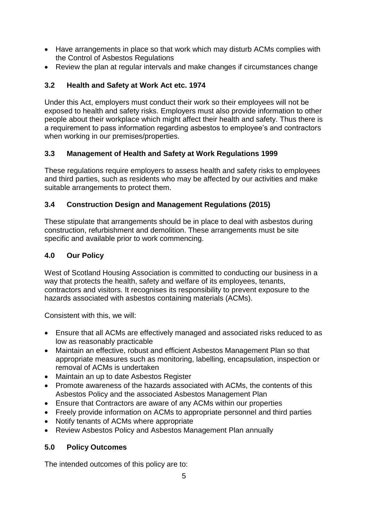- Have arrangements in place so that work which may disturb ACMs complies with the Control of Asbestos Regulations
- Review the plan at regular intervals and make changes if circumstances change

# **3.2 Health and Safety at Work Act etc. 1974**

Under this Act, employers must conduct their work so their employees will not be exposed to health and safety risks. Employers must also provide information to other people about their workplace which might affect their health and safety. Thus there is a requirement to pass information regarding asbestos to employee's and contractors when working in our premises/properties.

### **3.3 Management of Health and Safety at Work Regulations 1999**

These regulations require employers to assess health and safety risks to employees and third parties, such as residents who may be affected by our activities and make suitable arrangements to protect them.

# **3.4 Construction Design and Management Regulations (2015)**

These stipulate that arrangements should be in place to deal with asbestos during construction, refurbishment and demolition. These arrangements must be site specific and available prior to work commencing.

# **4.0 Our Policy**

West of Scotland Housing Association is committed to conducting our business in a way that protects the health, safety and welfare of its employees, tenants, contractors and visitors. It recognises its responsibility to prevent exposure to the hazards associated with asbestos containing materials (ACMs).

Consistent with this, we will:

- Ensure that all ACMs are effectively managed and associated risks reduced to as low as reasonably practicable
- Maintain an effective, robust and efficient Asbestos Management Plan so that appropriate measures such as monitoring, labelling, encapsulation, inspection or removal of ACMs is undertaken
- Maintain an up to date Asbestos Register
- Promote awareness of the hazards associated with ACMs, the contents of this Asbestos Policy and the associated Asbestos Management Plan
- Ensure that Contractors are aware of any ACMs within our properties
- Freely provide information on ACMs to appropriate personnel and third parties
- Notify tenants of ACMs where appropriate
- Review Asbestos Policy and Asbestos Management Plan annually

### **5.0 Policy Outcomes**

The intended outcomes of this policy are to: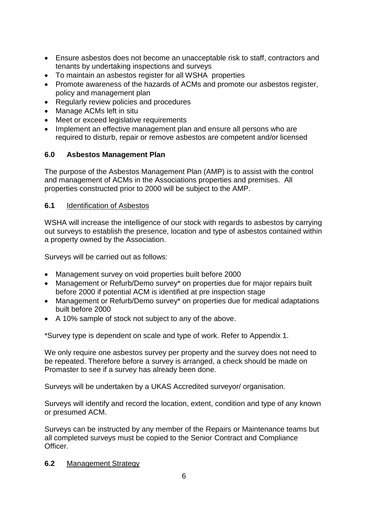- Ensure asbestos does not become an unacceptable risk to staff, contractors and tenants by undertaking inspections and surveys
- To maintain an asbestos register for all WSHA properties
- Promote awareness of the hazards of ACMs and promote our asbestos register, policy and management plan
- Regularly review policies and procedures
- Manage ACMs left in situ
- Meet or exceed legislative requirements
- Implement an effective management plan and ensure all persons who are required to disturb, repair or remove asbestos are competent and/or licensed

# **6.0 Asbestos Management Plan**

The purpose of the Asbestos Management Plan (AMP) is to assist with the control and management of ACMs in the Associations properties and premises. All properties constructed prior to 2000 will be subject to the AMP.

### **6.1** Identification of Asbestos

WSHA will increase the intelligence of our stock with regards to asbestos by carrying out surveys to establish the presence, location and type of asbestos contained within a property owned by the Association.

Surveys will be carried out as follows:

- Management survey on void properties built before 2000
- Management or Refurb/Demo survey\* on properties due for major repairs built before 2000 if potential ACM is identified at pre inspection stage
- Management or Refurb/Demo survey\* on properties due for medical adaptations built before 2000
- A 10% sample of stock not subject to any of the above.

\*Survey type is dependent on scale and type of work. Refer to Appendix 1.

We only require one asbestos survey per property and the survey does not need to be repeated. Therefore before a survey is arranged, a check should be made on Promaster to see if a survey has already been done.

Surveys will be undertaken by a UKAS Accredited surveyor/ organisation.

Surveys will identify and record the location, extent, condition and type of any known or presumed ACM.

Surveys can be instructed by any member of the Repairs or Maintenance teams but all completed surveys must be copied to the Senior Contract and Compliance Officer.

**6.2** Management Strategy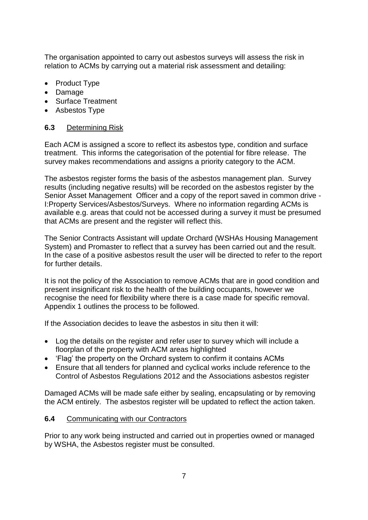The organisation appointed to carry out asbestos surveys will assess the risk in relation to ACMs by carrying out a material risk assessment and detailing:

- Product Type
- Damage
- Surface Treatment
- Asbestos Type

### **6.3** Determining Risk

Each ACM is assigned a score to reflect its asbestos type, condition and surface treatment. This informs the categorisation of the potential for fibre release. The survey makes recommendations and assigns a priority category to the ACM.

The asbestos register forms the basis of the asbestos management plan. Survey results (including negative results) will be recorded on the asbestos register by the Senior Asset Management Officer and a copy of the report saved in common drive - I:Property Services/Asbestos/Surveys. Where no information regarding ACMs is available e.g. areas that could not be accessed during a survey it must be presumed that ACMs are present and the register will reflect this.

The Senior Contracts Assistant will update Orchard (WSHAs Housing Management System) and Promaster to reflect that a survey has been carried out and the result. In the case of a positive asbestos result the user will be directed to refer to the report for further details.

It is not the policy of the Association to remove ACMs that are in good condition and present insignificant risk to the health of the building occupants, however we recognise the need for flexibility where there is a case made for specific removal. Appendix 1 outlines the process to be followed.

If the Association decides to leave the asbestos in situ then it will:

- Log the details on the register and refer user to survey which will include a floorplan of the property with ACM areas highlighted
- 'Flag' the property on the Orchard system to confirm it contains ACMs
- Ensure that all tenders for planned and cyclical works include reference to the Control of Asbestos Regulations 2012 and the Associations asbestos register

Damaged ACMs will be made safe either by sealing, encapsulating or by removing the ACM entirely. The asbestos register will be updated to reflect the action taken.

### **6.4** Communicating with our Contractors

Prior to any work being instructed and carried out in properties owned or managed by WSHA, the Asbestos register must be consulted.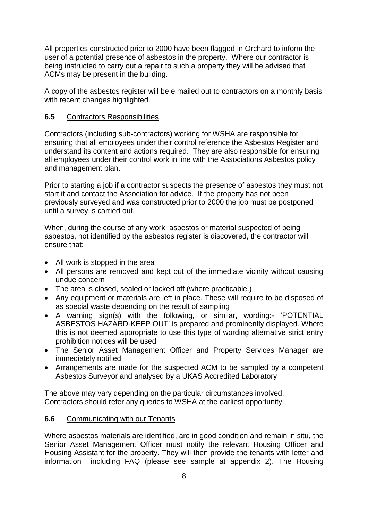All properties constructed prior to 2000 have been flagged in Orchard to inform the user of a potential presence of asbestos in the property. Where our contractor is being instructed to carry out a repair to such a property they will be advised that ACMs may be present in the building.

A copy of the asbestos register will be e mailed out to contractors on a monthly basis with recent changes highlighted.

#### **6.5** Contractors Responsibilities

Contractors (including sub-contractors) working for WSHA are responsible for ensuring that all employees under their control reference the Asbestos Register and understand its content and actions required. They are also responsible for ensuring all employees under their control work in line with the Associations Asbestos policy and management plan.

Prior to starting a job if a contractor suspects the presence of asbestos they must not start it and contact the Association for advice. If the property has not been previously surveyed and was constructed prior to 2000 the job must be postponed until a survey is carried out.

When, during the course of any work, asbestos or material suspected of being asbestos, not identified by the asbestos register is discovered, the contractor will ensure that:

- All work is stopped in the area
- All persons are removed and kept out of the immediate vicinity without causing undue concern
- The area is closed, sealed or locked off (where practicable.)
- Any equipment or materials are left in place. These will require to be disposed of as special waste depending on the result of sampling
- A warning sign(s) with the following, or similar, wording:- 'POTENTIAL ASBESTOS HAZARD-KEEP OUT' is prepared and prominently displayed. Where this is not deemed appropriate to use this type of wording alternative strict entry prohibition notices will be used
- The Senior Asset Management Officer and Property Services Manager are immediately notified
- Arrangements are made for the suspected ACM to be sampled by a competent Asbestos Surveyor and analysed by a UKAS Accredited Laboratory

The above may vary depending on the particular circumstances involved. Contractors should refer any queries to WSHA at the earliest opportunity.

#### **6.6** Communicating with our Tenants

Where asbestos materials are identified, are in good condition and remain in situ, the Senior Asset Management Officer must notify the relevant Housing Officer and Housing Assistant for the property. They will then provide the tenants with letter and information including FAQ (please see sample at appendix 2). The Housing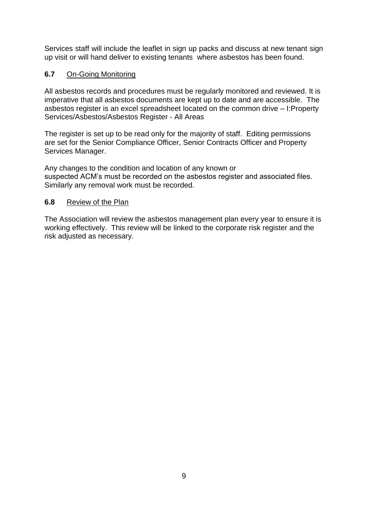Services staff will include the leaflet in sign up packs and discuss at new tenant sign up visit or will hand deliver to existing tenants where asbestos has been found.

### **6.7** On-Going Monitoring

All asbestos records and procedures must be regularly monitored and reviewed. It is imperative that all asbestos documents are kept up to date and are accessible. The asbestos register is an excel spreadsheet located on the common drive – I:Property Services/Asbestos/Asbestos Register - All Areas

The register is set up to be read only for the majority of staff. Editing permissions are set for the Senior Compliance Officer, Senior Contracts Officer and Property Services Manager.

Any changes to the condition and location of any known or suspected ACM's must be recorded on the asbestos register and associated files. Similarly any removal work must be recorded.

#### **6.8** Review of the Plan

The Association will review the asbestos management plan every year to ensure it is working effectively. This review will be linked to the corporate risk register and the risk adjusted as necessary.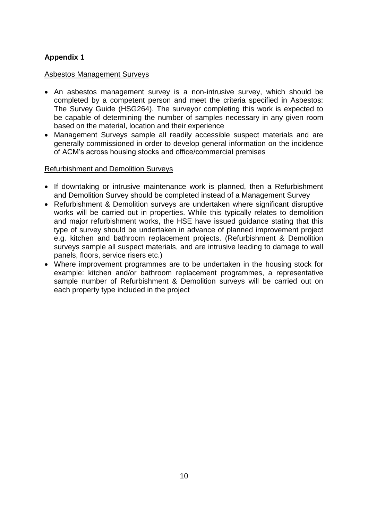# **Appendix 1**

#### Asbestos Management Surveys

- An asbestos management survey is a non-intrusive survey, which should be completed by a competent person and meet the criteria specified in Asbestos: The Survey Guide (HSG264). The surveyor completing this work is expected to be capable of determining the number of samples necessary in any given room based on the material, location and their experience
- Management Surveys sample all readily accessible suspect materials and are generally commissioned in order to develop general information on the incidence of ACM's across housing stocks and office/commercial premises

#### Refurbishment and Demolition Surveys

- If downtaking or intrusive maintenance work is planned, then a Refurbishment and Demolition Survey should be completed instead of a Management Survey
- Refurbishment & Demolition surveys are undertaken where significant disruptive works will be carried out in properties. While this typically relates to demolition and major refurbishment works, the HSE have issued guidance stating that this type of survey should be undertaken in advance of planned improvement project e.g. kitchen and bathroom replacement projects. (Refurbishment & Demolition surveys sample all suspect materials, and are intrusive leading to damage to wall panels, floors, service risers etc.)
- Where improvement programmes are to be undertaken in the housing stock for example: kitchen and/or bathroom replacement programmes, a representative sample number of Refurbishment & Demolition surveys will be carried out on each property type included in the project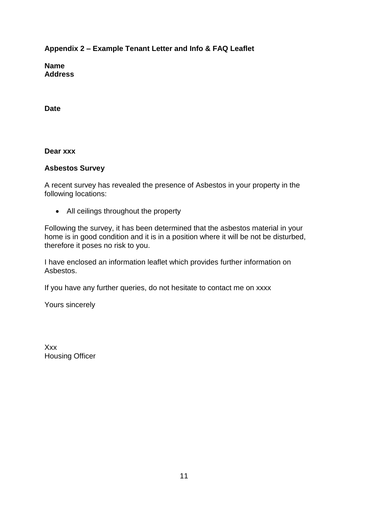**Appendix 2 – Example Tenant Letter and Info & FAQ Leaflet**

**Name Address**

**Date**

**Dear xxx**

### **Asbestos Survey**

A recent survey has revealed the presence of Asbestos in your property in the following locations:

All ceilings throughout the property

Following the survey, it has been determined that the asbestos material in your home is in good condition and it is in a position where it will be not be disturbed, therefore it poses no risk to you.

I have enclosed an information leaflet which provides further information on Asbestos.

If you have any further queries, do not hesitate to contact me on xxxx

Yours sincerely

Xxx Housing Officer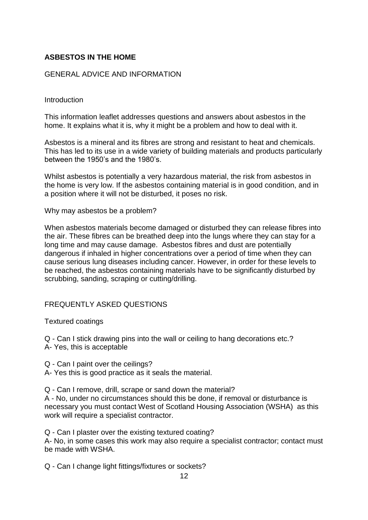### **ASBESTOS IN THE HOME**

#### GENERAL ADVICE AND INFORMATION

#### Introduction

This information leaflet addresses questions and answers about asbestos in the home. It explains what it is, why it might be a problem and how to deal with it.

Asbestos is a mineral and its fibres are strong and resistant to heat and chemicals. This has led to its use in a wide variety of building materials and products particularly between the 1950's and the 1980's.

Whilst asbestos is potentially a very hazardous material, the risk from asbestos in the home is very low. If the asbestos containing material is in good condition, and in a position where it will not be disturbed, it poses no risk.

Why may asbestos be a problem?

When asbestos materials become damaged or disturbed they can release fibres into the air. These fibres can be breathed deep into the lungs where they can stay for a long time and may cause damage. Asbestos fibres and dust are potentially dangerous if inhaled in higher concentrations over a period of time when they can cause serious lung diseases including cancer. However, in order for these levels to be reached, the asbestos containing materials have to be significantly disturbed by scrubbing, sanding, scraping or cutting/drilling.

#### FREQUENTLY ASKED QUESTIONS

Textured coatings

Q - Can I stick drawing pins into the wall or ceiling to hang decorations etc.? A- Yes, this is acceptable

Q - Can I paint over the ceilings?

A- Yes this is good practice as it seals the material.

Q - Can I remove, drill, scrape or sand down the material?

A - No, under no circumstances should this be done, if removal or disturbance is necessary you must contact West of Scotland Housing Association (WSHA) as this work will require a specialist contractor.

Q - Can I plaster over the existing textured coating?

A- No, in some cases this work may also require a specialist contractor; contact must be made with WSHA.

Q - Can I change light fittings/fixtures or sockets?